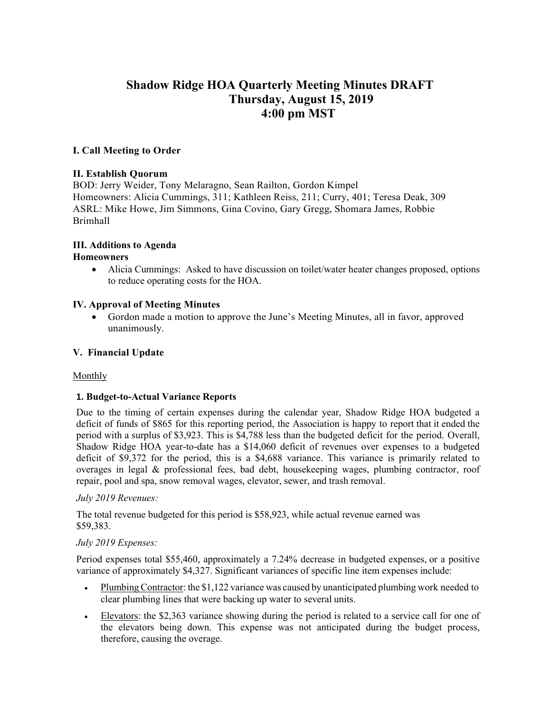# **Shadow Ridge HOA Quarterly Meeting Minutes DRAFT Thursday, August 15, 2019 4:00 pm MST**

## **I. Call Meeting to Order**

#### **II. Establish Quorum**

BOD: Jerry Weider, Tony Melaragno, Sean Railton, Gordon Kimpel Homeowners: Alicia Cummings, 311; Kathleen Reiss, 211; Curry, 401; Teresa Deak, 309 ASRL: Mike Howe, Jim Simmons, Gina Covino, Gary Gregg, Shomara James, Robbie Brimhall

## **III. Additions to Agenda**

#### **Homeowners**

• Alicia Cummings: Asked to have discussion on toilet/water heater changes proposed, options to reduce operating costs for the HOA.

## **IV. Approval of Meeting Minutes**

• Gordon made a motion to approve the June's Meeting Minutes, all in favor, approved unanimously.

#### **V. Financial Update**

#### **Monthly**

#### **1. Budget-to-Actual Variance Reports**

Due to the timing of certain expenses during the calendar year, Shadow Ridge HOA budgeted a deficit of funds of \$865 for this reporting period, the Association is happy to report that it ended the period with a surplus of \$3,923. This is \$4,788 less than the budgeted deficit for the period. Overall, Shadow Ridge HOA year-to-date has a \$14,060 deficit of revenues over expenses to a budgeted deficit of \$9,372 for the period, this is a \$4,688 variance. This variance is primarily related to overages in legal & professional fees, bad debt, housekeeping wages, plumbing contractor, roof repair, pool and spa, snow removal wages, elevator, sewer, and trash removal.

#### *July 2019 Revenues:*

The total revenue budgeted for this period is \$58,923, while actual revenue earned was \$59,383.

#### *July 2019 Expenses:*

Period expenses total \$55,460, approximately a 7.24% decrease in budgeted expenses, or a positive variance of approximately \$4,327. Significant variances of specific line item expenses include:

- Plumbing Contractor: the \$1,122 variance was caused by unanticipated plumbing work needed to clear plumbing lines that were backing up water to several units.
- Elevators: the \$2,363 variance showing during the period is related to a service call for one of the elevators being down. This expense was not anticipated during the budget process, therefore, causing the overage.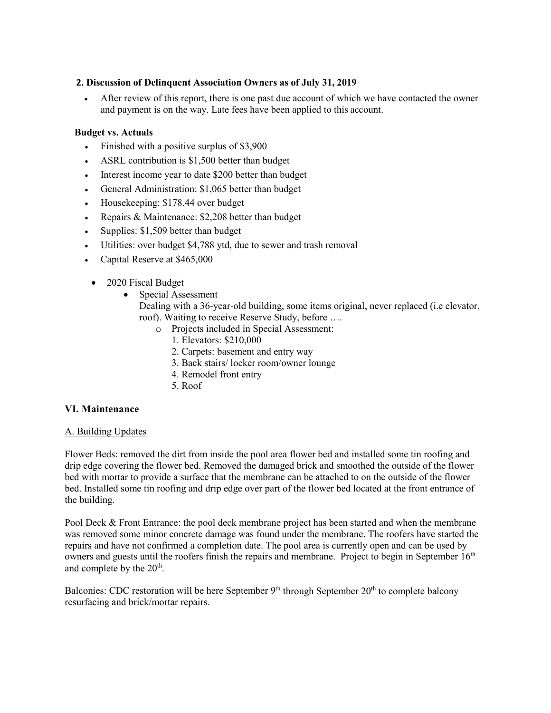#### **2. Discussion of Delinquent Association Owners as of July 31, 2019**

• After review of this report, there is one past due account of which we have contacted the owner and payment is on the way. Late fees have been applied to this account.

## **Budget vs. Actuals**

- Finished with a positive surplus of \$3,900
- ASRL contribution is \$1,500 better than budget
- Interest income year to date \$200 better than budget
- General Administration: \$1,065 better than budget
- Housekeeping: \$178.44 over budget
- Repairs & Maintenance: \$2,208 better than budget
- Supplies: \$1,509 better than budget
- Utilities: over budget \$4,788 ytd, due to sewer and trash removal
- Capital Reserve at \$465,000
- 2020 Fiscal Budget
	- Special Assessment

Dealing with a 36-year-old building, some items original, never replaced (i.e elevator, roof). Waiting to receive Reserve Study, before ….

- o Projects included in Special Assessment:
	- 1. Elevators: \$210,000
	- 2. Carpets: basement and entry way
	- 3. Back stairs/ locker room/owner lounge
	- 4. Remodel front entry
	- 5. Roof

#### **VI. Maintenance**

#### A. Building Updates

Flower Beds: removed the dirt from inside the pool area flower bed and installed some tin roofing and drip edge covering the flower bed. Removed the damaged brick and smoothed the outside of the flower bed with mortar to provide a surface that the membrane can be attached to on the outside of the flower bed. Installed some tin roofing and drip edge over part of the flower bed located at the front entrance of the building.

Pool Deck & Front Entrance: the pool deck membrane project has been started and when the membrane was removed some minor concrete damage was found under the membrane. The roofers have started the repairs and have not confirmed a completion date. The pool area is currently open and can be used by owners and guests until the roofers finish the repairs and membrane. Project to begin in September 16<sup>th</sup> and complete by the  $20<sup>th</sup>$ .

Balconies: CDC restoration will be here September  $9<sup>th</sup>$  through September  $20<sup>th</sup>$  to complete balcony resurfacing and brick/mortar repairs.